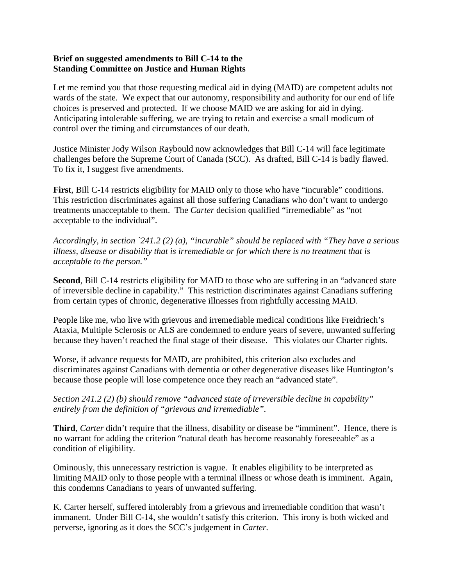## **Brief on suggested amendments to Bill C-14 to the Standing Committee on Justice and Human Rights**

Let me remind you that those requesting medical aid in dying (MAID) are competent adults not wards of the state. We expect that our autonomy, responsibility and authority for our end of life choices is preserved and protected. If we choose MAID we are asking for aid in dying. Anticipating intolerable suffering, we are trying to retain and exercise a small modicum of control over the timing and circumstances of our death.

Justice Minister Jody Wilson Raybould now acknowledges that Bill C-14 will face legitimate challenges before the Supreme Court of Canada (SCC). As drafted, Bill C-14 is badly flawed. To fix it, I suggest five amendments.

**First**, Bill C-14 restricts eligibility for MAID only to those who have "incurable" conditions. This restriction discriminates against all those suffering Canadians who don't want to undergo treatments unacceptable to them. The *Carter* decision qualified "irremediable" as "not acceptable to the individual".

*Accordingly, in section `241.2 (2) (a), "incurable" should be replaced with "They have a serious illness, disease or disability that is irremediable or for which there is no treatment that is acceptable to the person."* 

**Second**, Bill C-14 restricts eligibility for MAID to those who are suffering in an "advanced state of irreversible decline in capability." This restriction discriminates against Canadians suffering from certain types of chronic, degenerative illnesses from rightfully accessing MAID.

People like me, who live with grievous and irremediable medical conditions like Freidriech's Ataxia, Multiple Sclerosis or ALS are condemned to endure years of severe, unwanted suffering because they haven't reached the final stage of their disease. This violates our Charter rights.

Worse, if advance requests for MAID, are prohibited, this criterion also excludes and discriminates against Canadians with dementia or other degenerative diseases like Huntington's because those people will lose competence once they reach an "advanced state".

*Section 241.2 (2) (b) should remove "advanced state of irreversible decline in capability" entirely from the definition of "grievous and irremediable".*

**Third**, *Carter* didn't require that the illness, disability or disease be "imminent". Hence, there is no warrant for adding the criterion "natural death has become reasonably foreseeable" as a condition of eligibility.

Ominously, this unnecessary restriction is vague. It enables eligibility to be interpreted as limiting MAID only to those people with a terminal illness or whose death is imminent. Again, this condemns Canadians to years of unwanted suffering.

K. Carter herself, suffered intolerably from a grievous and irremediable condition that wasn't immanent. Under Bill C-14, she wouldn't satisfy this criterion. This irony is both wicked and perverse, ignoring as it does the SCC's judgement in *Carter.*